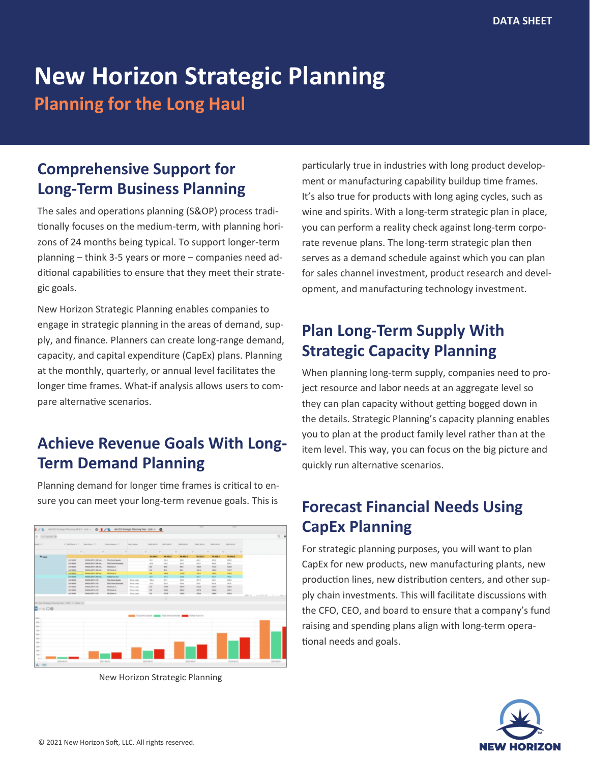# **New Horizon Strategic Planning**

**Planning for the Long Haul**

## **Comprehensive Support for Long-Term Business Planning**

The sales and operations planning (S&OP) process traditionally focuses on the medium-term, with planning horizons of 24 months being typical. To support longer-term planning – think 3-5 years or more – companies need additional capabilities to ensure that they meet their strategic goals.

New Horizon Strategic Planning enables companies to engage in strategic planning in the areas of demand, supply, and finance. Planners can create long-range demand, capacity, and capital expenditure (CapEx) plans. Planning at the monthly, quarterly, or annual level facilitates the longer time frames. What-if analysis allows users to compare alternative scenarios.

## **Achieve Revenue Goals With Long-Term Demand Planning**

Planning demand for longer time frames is critical to ensure you can meet your long-term revenue goals. This is



New Horizon Strategic Planning

particularly true in industries with long product development or manufacturing capability buildup time frames. It's also true for products with long aging cycles, such as wine and spirits. With a long-term strategic plan in place, you can perform a reality check against long-term corporate revenue plans. The long-term strategic plan then serves as a demand schedule against which you can plan for sales channel investment, product research and development, and manufacturing technology investment.

# **Plan Long-Term Supply With Strategic Capacity Planning**

When planning long-term supply, companies need to project resource and labor needs at an aggregate level so they can plan capacity without getting bogged down in the details. Strategic Planning's capacity planning enables you to plan at the product family level rather than at the item level. This way, you can focus on the big picture and quickly run alternative scenarios.

## **Forecast Financial Needs Using CapEx Planning**

For strategic planning purposes, you will want to plan CapEx for new products, new manufacturing plants, new production lines, new distribution centers, and other supply chain investments. This will facilitate discussions with the CFO, CEO, and board to ensure that a company's fund raising and spending plans align with long-term operational needs and goals.